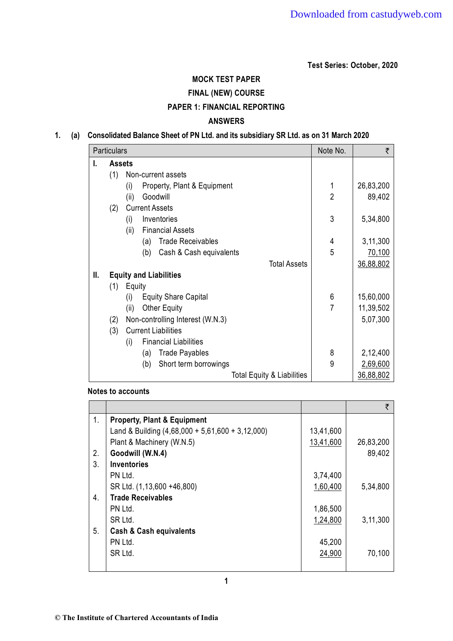**Test Series: October, 2020** 

# **MOCK TEST PAPER FINAL (NEW) COURSE PAPER 1: FINANCIAL REPORTING**

## **ANSWERS**

### **1. (a) Consolidated Balance Sheet of PN Ltd. and its subsidiary SR Ltd. as on 31 March 2020**

|    | <b>Particulars</b> |                                       |                | ₹         |
|----|--------------------|---------------------------------------|----------------|-----------|
| L. | <b>Assets</b>      |                                       |                |           |
|    | (1)                | Non-current assets                    |                |           |
|    |                    | Property, Plant & Equipment<br>(i)    | 1              | 26,83,200 |
|    |                    | Goodwill<br>(ii)                      | $\overline{2}$ | 89,402    |
|    | (2)                | <b>Current Assets</b>                 |                |           |
|    |                    | Inventories<br>(i)                    | 3              | 5,34,800  |
|    |                    | <b>Financial Assets</b><br>(ii)       |                |           |
|    |                    | <b>Trade Receivables</b><br>(a)       | 4              | 3,11,300  |
|    |                    | Cash & Cash equivalents<br>(b)        | 5              | 70,100    |
|    |                    | <b>Total Assets</b>                   |                | 36,88,802 |
| Ш. |                    | <b>Equity and Liabilities</b>         |                |           |
|    | (1)                | Equity                                |                |           |
|    |                    | <b>Equity Share Capital</b><br>(i)    | 6              | 15,60,000 |
|    |                    | <b>Other Equity</b><br>(ii)           | 7              | 11,39,502 |
|    | (2)                | Non-controlling Interest (W.N.3)      |                | 5,07,300  |
|    | (3)                | <b>Current Liabilities</b>            |                |           |
|    |                    | <b>Financial Liabilities</b><br>(i)   |                |           |
|    |                    | <b>Trade Payables</b><br>(a)          | 8              | 2,12,400  |
|    |                    | Short term borrowings<br>(b)          | 9              | 2,69,600  |
|    |                    | <b>Total Equity &amp; Liabilities</b> |                | 36,88,802 |

#### **Notes to accounts**

|    |                                                    |           | ₹         |
|----|----------------------------------------------------|-----------|-----------|
| 1. | <b>Property, Plant &amp; Equipment</b>             |           |           |
|    | Land & Building $(4,68,000 + 5,61,600 + 3,12,000)$ | 13,41,600 |           |
|    | Plant & Machinery (W.N.5)                          | 13,41,600 | 26,83,200 |
| 2. | Goodwill (W.N.4)                                   |           | 89,402    |
| 3. | <b>Inventories</b>                                 |           |           |
|    | PN Ltd.                                            | 3,74,400  |           |
|    | SR Ltd. (1,13,600 +46,800)                         | 1,60,400  | 5,34,800  |
| 4. | <b>Trade Receivables</b>                           |           |           |
|    | PN Ltd.                                            | 1,86,500  |           |
|    | SR Ltd.                                            | 1,24,800  | 3,11,300  |
| 5. | <b>Cash &amp; Cash equivalents</b>                 |           |           |
|    | PN Ltd.                                            | 45,200    |           |
|    | SR Ltd.                                            | 24,900    | 70,100    |
|    |                                                    |           |           |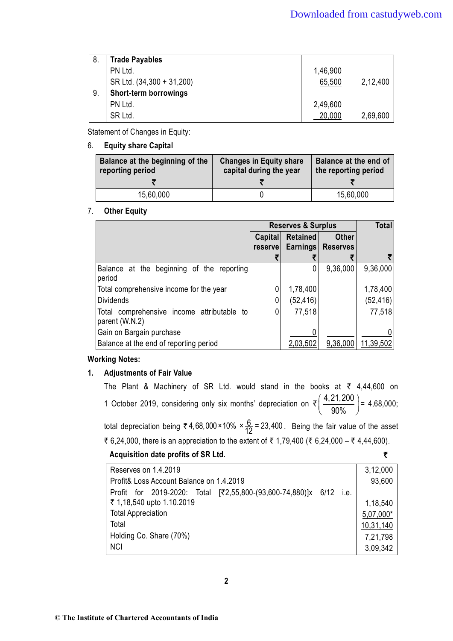| 8. | <b>Trade Payables</b>     |          |          |
|----|---------------------------|----------|----------|
|    |                           |          |          |
|    | PN Ltd.                   | 1,46,900 |          |
|    | SR Ltd. (34,300 + 31,200) | 65,500   | 2,12,400 |
| 9. | Short-term borrowings     |          |          |
|    | PN Ltd.                   | 2,49,600 |          |
|    | SR Ltd.                   | 20,000   | 2,69,600 |

Statement of Changes in Equity:

6. **Equity share Capital** 

| Balance at the beginning of the<br>reporting period | <b>Changes in Equity share</b><br>capital during the year | Balance at the end of<br>the reporting period |
|-----------------------------------------------------|-----------------------------------------------------------|-----------------------------------------------|
|                                                     |                                                           |                                               |
| 15,60,000                                           |                                                           | 15,60,000                                     |

### 7. **Other Equity**

|                                                              | <b>Reserves &amp; Surplus</b> |                 |                 | <b>Total</b> |
|--------------------------------------------------------------|-------------------------------|-----------------|-----------------|--------------|
|                                                              | <b>Capital</b>                | <b>Retained</b> | <b>Other</b>    |              |
|                                                              | reservel                      | <b>Earnings</b> | <b>Reserves</b> |              |
|                                                              |                               |                 |                 |              |
| Balance at the beginning of the reporting<br>period          |                               |                 | 9,36,000        | 9,36,000     |
| Total comprehensive income for the year                      |                               | 1,78,400        |                 | 1,78,400     |
| <b>Dividends</b>                                             |                               | (52, 416)       |                 | (52, 416)    |
| Total comprehensive income attributable to<br>parent (W.N.2) |                               | 77,518          |                 | 77,518       |
| Gain on Bargain purchase                                     |                               |                 |                 |              |
| Balance at the end of reporting period                       |                               | 2,03,502        | 9,36,000        | 11,39,502    |

### **Working Notes:**

### **1. Adjustments of Fair Value**

The Plant & Machinery of SR Ltd. would stand in the books at  $\bar{\tau}$  4,44,600 on 1 October 2019, considering only six months' depreciation on  $\bar{\xi}$   $\left(\frac{4,21,200}{200}\right)$  $\left(\frac{4,21,200}{90\%}\right) = 4,68,000;$ total depreciation being ₹ 4,68,000 × 10%  $\times \frac{6}{12}$  = 23,400 . Being the fair value of the asset ₹ 6,24,000, there is an appreciation to the extent of ₹ 1,79,400 (₹ 6,24,000 – ₹ 4,44,600).

**Acquisition date profits of SR Ltd.** `

| Reserves on 1.4.2019                                          |      | 3,12,000  |
|---------------------------------------------------------------|------|-----------|
| Profit& Loss Account Balance on 1.4.2019                      |      | 93,600    |
| Profit for 2019-2020: Total [₹2,55,800-(93,600-74,880)]x 6/12 | i.e. |           |
| ₹ 1,18,540 upto 1.10.2019                                     |      | 1,18,540  |
| <b>Total Appreciation</b>                                     |      | 5,07,000* |
| Total                                                         |      | 10,31,140 |
| Holding Co. Share (70%)                                       |      | 7,21,798  |
| <b>NCI</b>                                                    |      | 3,09,342  |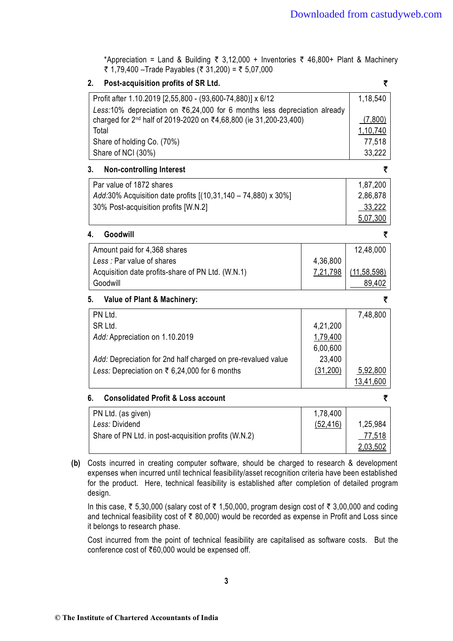\*Appreciation = Land & Building  $\bar{\tau}$  3,12,000 + Inventories  $\bar{\tau}$  46,800+ Plant & Machinery ₹ 1,79,400 –Trade Payables (₹ 31,200) = ₹ 5,07,000

### **2. Post-acquisition profits of SR Ltd.** `

| Profit after 1.10.2019 [2,55,800 - (93,600-74,880)] x 6/12                             | 1,18,540 |
|----------------------------------------------------------------------------------------|----------|
| Less:10% depreciation on $\overline{3}6,24,000$ for 6 months less depreciation already |          |
| charged for 2 <sup>nd</sup> half of 2019-2020 on ₹4,68,800 (ie 31,200-23,400)          | (7,800)  |
| Total                                                                                  | 1,10,740 |
| Share of holding Co. (70%)                                                             | 77.518   |
| Share of NCI (30%)                                                                     | 33,222   |
|                                                                                        |          |

#### **3. Non-controlling Interest** `

| Par value of 1872 shares                                      | 1,87,200 |
|---------------------------------------------------------------|----------|
| Add:30% Acquisition date profits [(10,31,140 – 74,880) x 30%] | 2,86,878 |
| 30% Post-acquisition profits [W.N.2]                          | 33,222   |
|                                                               | 5,07,300 |

#### **4. Goodwill** `

| Amount paid for 4,368 shares                      |          | 12,48,000     |
|---------------------------------------------------|----------|---------------|
| Less: Par value of shares                         | 4,36,800 |               |
| Acquisition date profits-share of PN Ltd. (W.N.1) | 7,21,798 | (11, 58, 598) |
| Goodwill                                          |          | 89.402        |

#### **5. Value of Plant & Machinery:** `

| PN Ltd.                                                      |          | 7,48,800  |
|--------------------------------------------------------------|----------|-----------|
| SR Ltd.                                                      | 4,21,200 |           |
| Add: Appreciation on 1.10.2019                               | 1,79,400 |           |
|                                                              | 6,00,600 |           |
| Add: Depreciation for 2nd half charged on pre-revalued value | 23,400   |           |
| <i>Less:</i> Depreciation on ₹ 6,24,000 for 6 months         | (31,200) | 5,92,800  |
|                                                              |          | 13,41,600 |

### **6. Consolidated Profit & Loss account** `

| PN Ltd. (as given)                                   | 1,78,400  |          |
|------------------------------------------------------|-----------|----------|
| Less: Dividend                                       | (52, 416) | 1,25,984 |
| Share of PN Ltd. in post-acquisition profits (W.N.2) |           | 77,518   |
|                                                      |           | 2,03,502 |

**(b)** Costs incurred in creating computer software, should be charged to research & development expenses when incurred until technical feasibility/asset recognition criteria have been established for the product. Here, technical feasibility is established after completion of detailed program design.

In this case,  $\bar{\tau}$  5,30,000 (salary cost of  $\bar{\tau}$  1,50,000, program design cost of  $\bar{\tau}$  3,00,000 and coding and technical feasibility cost of  $\bar{\tau}$  80,000) would be recorded as expense in Profit and Loss since it belongs to research phase.

 Cost incurred from the point of technical feasibility are capitalised as software costs. But the conference cost of  $\text{\textsterling}60,000$  would be expensed off.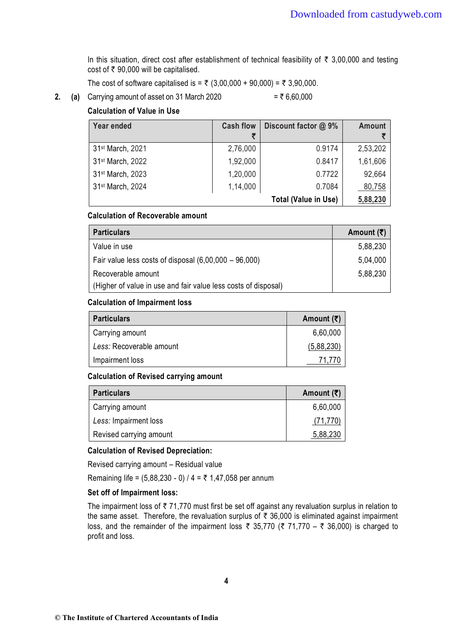In this situation, direct cost after establishment of technical feasibility of  $\bar{\tau}$  3,00,000 and testing cost of  $\overline{\epsilon}$  90,000 will be capitalised.

The cost of software capitalised is =  $\bar{\tau}$  (3,00,000 + 90,000) =  $\bar{\tau}$  3,90,000.

**2.** (a) Carrying amount of asset on 31 March 2020

$$
= ₹ 6.60.000
$$

### **Calculation of Value in Use**

| Year ended                   | <b>Cash flow</b> | Discount factor @ 9%        | <b>Amount</b> |
|------------------------------|------------------|-----------------------------|---------------|
| 31 <sup>st</sup> March, 2021 | 2,76,000         | 0.9174                      | 2,53,202      |
| 31 <sup>st</sup> March, 2022 | 1,92,000         | 0.8417                      | 1,61,606      |
| 31 <sup>st</sup> March, 2023 | 1,20,000         | 0.7722                      | 92,664        |
| 31 <sup>st</sup> March, 2024 | 1,14,000         | 0.7084                      | 80,758        |
|                              |                  | <b>Total (Value in Use)</b> | 5,88,230      |

#### **Calculation of Recoverable amount**

| <b>Particulars</b>                                             | Amount $(\bar{\tau})$ |
|----------------------------------------------------------------|-----------------------|
| Value in use                                                   | 5,88,230              |
| Fair value less costs of disposal $(6,00,000 - 96,000)$        | 5,04,000              |
| Recoverable amount                                             | 5,88,230              |
| (Higher of value in use and fair value less costs of disposal) |                       |

#### **Calculation of Impairment loss**

| <b>Particulars</b>       | Amount $(\bar{\bar{\zeta}})$ |
|--------------------------|------------------------------|
| Carrying amount          | 6,60,000                     |
| Less: Recoverable amount | (5,88,230)                   |
| Impairment loss          | 71 771                       |

#### **Calculation of Revised carrying amount**

| <b>Particulars</b>      | Amount $(\bar{\bar{\zeta}})$ |
|-------------------------|------------------------------|
| Carrying amount         | 6,60,000                     |
| Less: Impairment loss   | (71, 770)                    |
| Revised carrying amount | 5,88,230                     |

#### **Calculation of Revised Depreciation:**

Revised carrying amount – Residual value

Remaining life =  $(5,88,230 - 0)$  / 4 = ₹ 1,47,058 per annum

### **Set off of Impairment loss:**

The impairment loss of  $\bar{\tau}$  71,770 must first be set off against any revaluation surplus in relation to the same asset. Therefore, the revaluation surplus of  $\bar{\tau}$  36,000 is eliminated against impairment loss, and the remainder of the impairment loss  $\bar{\tau}$  35,770 ( $\bar{\tau}$  71,770 –  $\bar{\tau}$  36,000) is charged to profit and loss.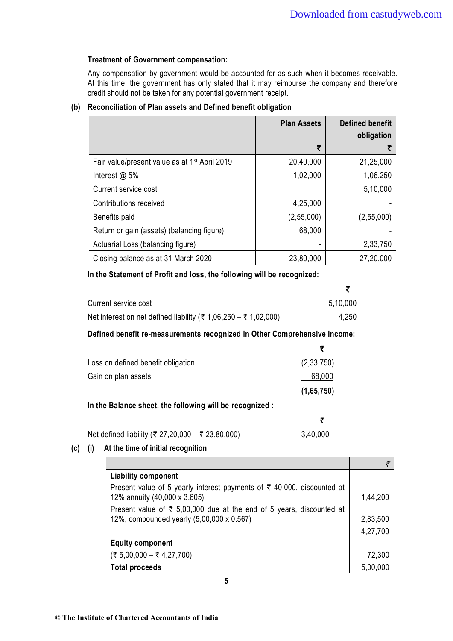### **Treatment of Government compensation:**

Any compensation by government would be accounted for as such when it becomes receivable. At this time, the government has only stated that it may reimburse the company and therefore credit should not be taken for any potential government receipt.

|                                                           | <b>Plan Assets</b> | <b>Defined benefit</b><br>obligation |
|-----------------------------------------------------------|--------------------|--------------------------------------|
|                                                           | ₹                  |                                      |
| Fair value/present value as at 1 <sup>st</sup> April 2019 | 20,40,000          | 21,25,000                            |
| Interest $@$ 5%                                           | 1,02,000           | 1,06,250                             |
| Current service cost                                      |                    | 5,10,000                             |
| Contributions received                                    | 4,25,000           |                                      |
| Benefits paid                                             | (2,55,000)         | (2,55,000)                           |
| Return or gain (assets) (balancing figure)                | 68,000             |                                      |
| Actuarial Loss (balancing figure)                         |                    | 2,33,750                             |
| Closing balance as at 31 March 2020                       | 23,80,000          | 27,20,000                            |

### **(b) Reconciliation of Plan assets and Defined benefit obligation**

#### **In the Statement of Profit and loss, the following will be recognized:**

| Current service cost                                            | 5,10,000 |
|-----------------------------------------------------------------|----------|
| Net interest on net defined liability (₹ 1,06,250 – ₹ 1,02,000) | 4,250    |

#### **Defined benefit re-measurements recognized in Other Comprehensive Income:**

| Loss on defined benefit obligation                      | (2, 33, 750) |
|---------------------------------------------------------|--------------|
| Gain on plan assets                                     | 68,000       |
|                                                         | (1,65,750)   |
| In the Balance sheet, the following will be recognized: |              |

| Net defined liability (₹ 27,20,000 – ₹ 23,80,000) | 3,40,000 |
|---------------------------------------------------|----------|

### **(c) (i) At the time of initial recognition**

| <b>Liability component</b>                                                                                        |          |
|-------------------------------------------------------------------------------------------------------------------|----------|
| Present value of 5 yearly interest payments of ₹ 40,000, discounted at<br>12% annuity (40,000 x 3.605)            | 1,44,200 |
| Present value of ₹ 5,00,000 due at the end of 5 years, discounted at<br>12%, compounded yearly (5,00,000 x 0.567) | 2,83,500 |
|                                                                                                                   | 4,27,700 |
| <b>Equity component</b>                                                                                           |          |
| $($ ₹ 5,00,000 – ₹ 4,27,700)                                                                                      | 72,300   |
| <b>Total proceeds</b>                                                                                             | 5,00,000 |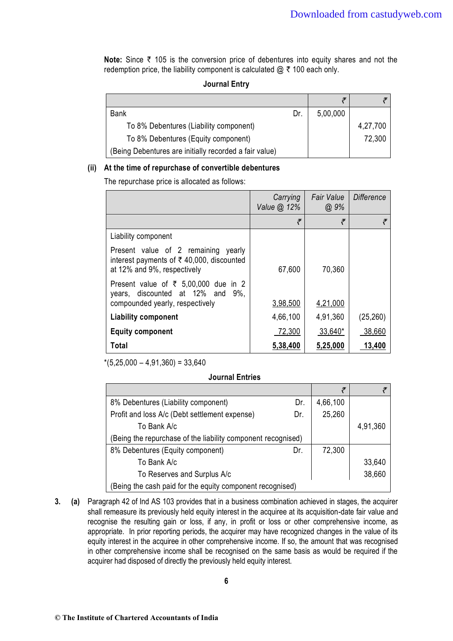**Note:** Since ₹ 105 is the conversion price of debentures into equity shares and not the redemption price, the liability component is calculated  $@ \t{7} 100$  each only.

### **Journal Entry**

| <b>Bank</b>                                            | Dr. | 5,00,000 |          |
|--------------------------------------------------------|-----|----------|----------|
| To 8% Debentures (Liability component)                 |     |          | 4,27,700 |
| To 8% Debentures (Equity component)                    |     |          | 72,300   |
| (Being Debentures are initially recorded a fair value) |     |          |          |

#### **(ii) At the time of repurchase of convertible debentures**

The repurchase price is allocated as follows:

|                                                                                                                                   | Carrying<br>Value @ 12% | <b>Fair Value</b><br>$@.9\%$ | <b>Difference</b> |
|-----------------------------------------------------------------------------------------------------------------------------------|-------------------------|------------------------------|-------------------|
|                                                                                                                                   | ₹                       | ₹                            | ₹                 |
| Liability component                                                                                                               |                         |                              |                   |
| Present value of 2 remaining<br>yearly<br>interest payments of $\bar{\tau}$ 40,000, discounted<br>at 12% and 9%, respectively     | 67,600                  | 70,360                       |                   |
| Present value of $\overline{\xi}$ 5,00,000 due in 2<br>years, discounted at 12% and<br>$9\%$ .<br>compounded yearly, respectively | 3,98,500                | 4,21,000                     |                   |
| <b>Liability component</b>                                                                                                        | 4,66,100                | 4,91,360                     | (25, 260)         |
| <b>Equity component</b>                                                                                                           | 72,300                  | 33,640*                      | 38,660            |
| Total                                                                                                                             | 5,38,400                | 5,25,000                     | 13,400            |

 $*(5,25,000 - 4,91,360) = 33,640$ 

#### **Journal Entries**

| 8% Debentures (Liability component)                          | Dr. | 4,66,100 |          |
|--------------------------------------------------------------|-----|----------|----------|
| Profit and loss A/c (Debt settlement expense)                | Dr. | 25,260   |          |
| To Bank A/c                                                  |     |          | 4,91,360 |
| (Being the repurchase of the liability component recognised) |     |          |          |
| 8% Debentures (Equity component)                             | Dr. | 72,300   |          |
| To Bank A/c                                                  |     |          | 33,640   |
| To Reserves and Surplus A/c                                  |     |          | 38,660   |
| (Being the cash paid for the equity component recognised)    |     |          |          |

**3. (a)** Paragraph 42 of Ind AS 103 provides that in a business combination achieved in stages, the acquirer shall remeasure its previously held equity interest in the acquiree at its acquisition-date fair value and recognise the resulting gain or loss, if any, in profit or loss or other comprehensive income, as appropriate. In prior reporting periods, the acquirer may have recognized changes in the value of its equity interest in the acquiree in other comprehensive income. If so, the amount that was recognised in other comprehensive income shall be recognised on the same basis as would be required if the acquirer had disposed of directly the previously held equity interest.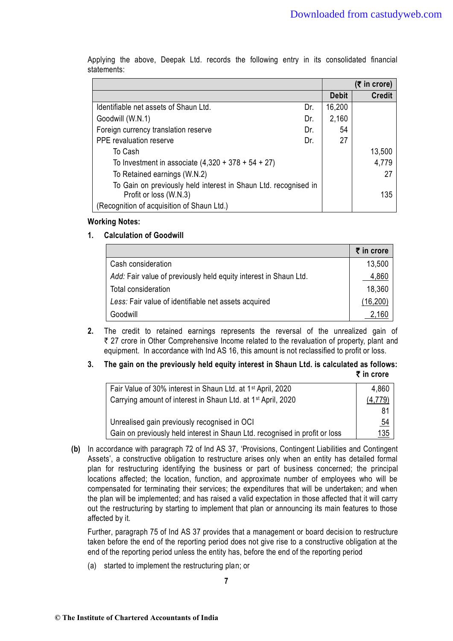|                                                                 |     |              | $(5$ in crore) |
|-----------------------------------------------------------------|-----|--------------|----------------|
|                                                                 |     | <b>Debit</b> | <b>Credit</b>  |
| Identifiable net assets of Shaun Ltd.                           | Dr. | 16,200       |                |
| Goodwill (W.N.1)                                                | Dr. | 2,160        |                |
| Foreign currency translation reserve                            | Dr. | 54           |                |
| <b>PPE</b> revaluation reserve                                  | Dr. | 27           |                |
| To Cash                                                         |     |              | 13,500         |
| To Investment in associate $(4,320 + 378 + 54 + 27)$            |     |              | 4,779          |
| To Retained earnings (W.N.2)                                    |     |              | 27             |
| To Gain on previously held interest in Shaun Ltd. recognised in |     |              |                |
| Profit or loss (W.N.3)                                          |     |              | 135            |
| Recognition of acquisition of Shaun Ltd.)                       |     |              |                |

 Applying the above, Deepak Ltd. records the following entry in its consolidated financial statements:

#### **Working Notes:**

### **1. Calculation of Goodwill**

|                                                                  | ₹ in crore |
|------------------------------------------------------------------|------------|
| Cash consideration                                               | 13,500     |
| Add: Fair value of previously held equity interest in Shaun Ltd. | 4,860      |
| Total consideration                                              | 18,360     |
| Less: Fair value of identifiable net assets acquired             | (16, 200)  |
| Goodwill                                                         | 160        |

**2.** The credit to retained earnings represents the reversal of the unrealized gain of ₹ 27 crore in Other Comprehensive Income related to the revaluation of property, plant and equipment. In accordance with Ind AS 16, this amount is not reclassified to profit or loss.

#### **3. The gain on the previously held equity interest in Shaun Ltd. is calculated as follows:** ` **in crore**

| Fair Value of 30% interest in Shaun Ltd. at 1 <sup>st</sup> April, 2020     | 4,860     |
|-----------------------------------------------------------------------------|-----------|
| Carrying amount of interest in Shaun Ltd. at 1 <sup>st</sup> April, 2020    | (4, 779)  |
|                                                                             | 81        |
| Unrealised gain previously recognised in OCI                                | <u>54</u> |
| Gain on previously held interest in Shaun Ltd. recognised in profit or loss | 135       |

**(b)** In accordance with paragraph 72 of Ind AS 37, 'Provisions, Contingent Liabilities and Contingent Assets', a constructive obligation to restructure arises only when an entity has detailed formal plan for restructuring identifying the business or part of business concerned; the principal locations affected; the location, function, and approximate number of employees who will be compensated for terminating their services; the expenditures that will be undertaken; and when the plan will be implemented; and has raised a valid expectation in those affected that it will carry out the restructuring by starting to implement that plan or announcing its main features to those affected by it.

 Further, paragraph 75 of Ind AS 37 provides that a management or board decision to restructure taken before the end of the reporting period does not give rise to a constructive obligation at the end of the reporting period unless the entity has, before the end of the reporting period

(a) started to implement the restructuring plan; or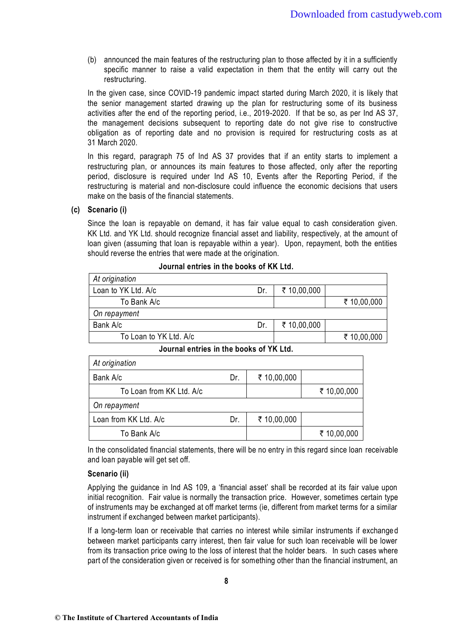(b) announced the main features of the restructuring plan to those affected by it in a sufficiently specific manner to raise a valid expectation in them that the entity will carry out the restructuring.

 In the given case, since COVID-19 pandemic impact started during March 2020, it is likely that the senior management started drawing up the plan for restructuring some of its business activities after the end of the reporting period, i.e., 2019-2020. If that be so, as per Ind AS 37, the management decisions subsequent to reporting date do not give rise to constructive obligation as of reporting date and no provision is required for restructuring costs as at 31 March 2020.

 In this regard, paragraph 75 of Ind AS 37 provides that if an entity starts to implement a restructuring plan, or announces its main features to those affected, only after the reporting period, disclosure is required under Ind AS 10, Events after the Reporting Period, if the restructuring is material and non-disclosure could influence the economic decisions that users make on the basis of the financial statements.

#### **(c) Scenario (i)**

 Since the loan is repayable on demand, it has fair value equal to cash consideration given. KK Ltd. and YK Ltd. should recognize financial asset and liability, respectively, at the amount of loan given (assuming that loan is repayable within a year). Upon, repayment, both the entities should reverse the entries that were made at the origination.

| Dr. | ₹ 10,00,000 |             |
|-----|-------------|-------------|
|     |             | ₹ 10,00,000 |
|     |             |             |
| Dr. | ₹ 10,00,000 |             |
|     |             | ₹ 10,00,000 |
|     |             |             |

#### **Journal entries in the books of KK Ltd.**

#### **Journal entries in the books of YK Ltd.**

| At origination           |     |             |             |
|--------------------------|-----|-------------|-------------|
| Bank A/c                 | Dr. | ₹ 10,00,000 |             |
| To Loan from KK Ltd. A/c |     |             | ₹ 10,00,000 |
| On repayment             |     |             |             |
| Loan from KK Ltd. A/c    | Dr. | ₹ 10,00,000 |             |
| To Bank A/c              |     |             | ₹ 10,00,000 |

 In the consolidated financial statements, there will be no entry in this regard since loan receivable and loan payable will get set off.

#### **Scenario (ii)**

Applying the guidance in Ind AS 109, a 'financial asset' shall be recorded at its fair value upon initial recognition. Fair value is normally the transaction price. However, sometimes certain type of instruments may be exchanged at off market terms (ie, different from market terms for a similar instrument if exchanged between market participants).

 If a long-term loan or receivable that carries no interest while similar instruments if exchanged between market participants carry interest, then fair value for such loan receivable will be lower from its transaction price owing to the loss of interest that the holder bears. In such cases where part of the consideration given or received is for something other than the financial instrument, an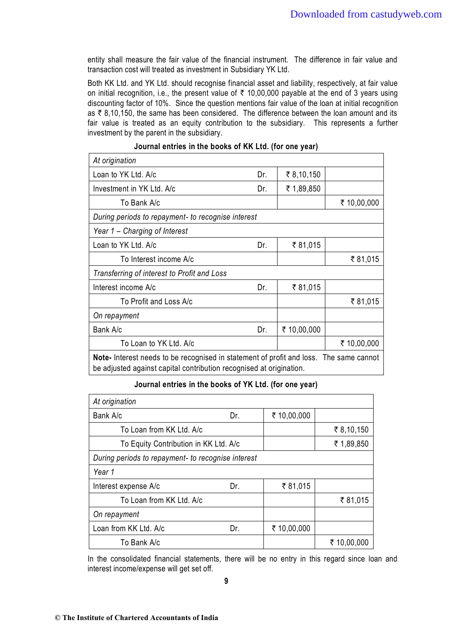entity shall measure the fair value of the financial instrument. The difference in fair value and transaction cost will treated as investment in Subsidiary YK Ltd.

 Both KK Ltd. and YK Ltd. should recognise financial asset and liability, respectively, at fair value on initial recognition, i.e., the present value of  $\bar{\tau}$  10,00,000 payable at the end of 3 years using discounting factor of 10%. Since the question mentions fair value of the loan at initial recognition as  $\bar{\tau}$  8,10,150, the same has been considered. The difference between the loan amount and its fair value is treated as an equity contribution to the subsidiary. This represents a further investment by the parent in the subsidiary.

| At origination                                                                                                                                                       |     |             |             |  |
|----------------------------------------------------------------------------------------------------------------------------------------------------------------------|-----|-------------|-------------|--|
| Loan to YK Ltd. A/c                                                                                                                                                  | Dr. | ₹8,10,150   |             |  |
| Investment in YK Ltd. A/c                                                                                                                                            | Dr. | ₹ 1,89,850  |             |  |
| To Bank A/c                                                                                                                                                          |     |             | ₹ 10,00,000 |  |
| During periods to repayment- to recognise interest                                                                                                                   |     |             |             |  |
| Year 1 - Charging of Interest                                                                                                                                        |     |             |             |  |
| Loan to YK Ltd. A/c                                                                                                                                                  | Dr. | ₹81,015     |             |  |
| To Interest income A/c                                                                                                                                               |     |             | ₹81,015     |  |
| Transferring of interest to Profit and Loss                                                                                                                          |     |             |             |  |
| ₹81,015<br>Interest income A/c<br>Dr.                                                                                                                                |     |             |             |  |
| ₹81,015<br>To Profit and Loss A/c                                                                                                                                    |     |             |             |  |
| On repayment                                                                                                                                                         |     |             |             |  |
| Bank A/c                                                                                                                                                             | Dr. | ₹ 10,00,000 |             |  |
| To Loan to YK Ltd. A/c<br>₹ 10,00,000                                                                                                                                |     |             |             |  |
| <b>Note-</b> Interest needs to be recognised in statement of profit and loss. The same cannot<br>be adjusted against capital contribution recognised at origination. |     |             |             |  |

#### **Journal entries in the books of KK Ltd. (for one year)**

#### **Journal entries in the books of YK Ltd. (for one year)**

| At origination                                     |     |             |             |
|----------------------------------------------------|-----|-------------|-------------|
| Bank A/c                                           | Dr. | ₹ 10,00,000 |             |
| To Loan from KK Ltd. A/c                           |     |             | ₹ 8,10,150  |
| To Equity Contribution in KK Ltd. A/c              |     |             | ₹ 1,89,850  |
| During periods to repayment- to recognise interest |     |             |             |
| Year 1                                             |     |             |             |
| Interest expense A/c                               | Dr. | ₹81,015     |             |
| To Loan from KK Ltd. A/c                           |     |             | ₹81,015     |
| On repayment                                       |     |             |             |
| Loan from KK Ltd. A/c                              | Dr. | ₹ 10,00,000 |             |
| To Bank A/c                                        |     |             | ₹ 10,00,000 |

 In the consolidated financial statements, there will be no entry in this regard since loan and interest income/expense will get set off.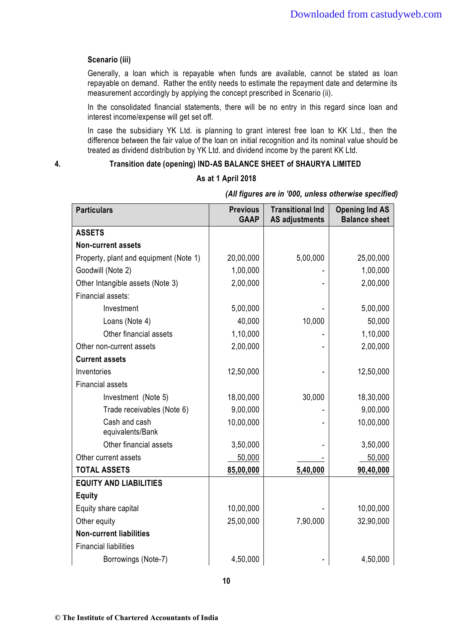#### **Scenario (iii)**

 Generally, a loan which is repayable when funds are available, cannot be stated as loan repayable on demand. Rather the entity needs to estimate the repayment date and determine its measurement accordingly by applying the concept prescribed in Scenario (ii).

 In the consolidated financial statements, there will be no entry in this regard since loan and interest income/expense will get set off.

 In case the subsidiary YK Ltd. is planning to grant interest free loan to KK Ltd., then the difference between the fair value of the loan on initial recognition and its nominal value should be treated as dividend distribution by YK Ltd. and dividend income by the parent KK Ltd.

### **4. Transition date (opening) IND-AS BALANCE SHEET of SHAURYA LIMITED**

#### **As at 1 April 2018**

| <b>Particulars</b>                     | <b>Previous</b><br><b>GAAP</b> | <b>Transitional Ind</b><br><b>AS adjustments</b> | <b>Opening Ind AS</b><br><b>Balance sheet</b> |
|----------------------------------------|--------------------------------|--------------------------------------------------|-----------------------------------------------|
| <b>ASSETS</b>                          |                                |                                                  |                                               |
| <b>Non-current assets</b>              |                                |                                                  |                                               |
| Property, plant and equipment (Note 1) | 20,00,000                      | 5,00,000                                         | 25,00,000                                     |
| Goodwill (Note 2)                      | 1,00,000                       |                                                  | 1,00,000                                      |
| Other Intangible assets (Note 3)       | 2,00,000                       |                                                  | 2,00,000                                      |
| Financial assets:                      |                                |                                                  |                                               |
| Investment                             | 5,00,000                       |                                                  | 5,00,000                                      |
| Loans (Note 4)                         | 40,000                         | 10,000                                           | 50,000                                        |
| Other financial assets                 | 1,10,000                       |                                                  | 1,10,000                                      |
| Other non-current assets               | 2,00,000                       |                                                  | 2,00,000                                      |
| <b>Current assets</b>                  |                                |                                                  |                                               |
| Inventories                            | 12,50,000                      |                                                  | 12,50,000                                     |
| <b>Financial assets</b>                |                                |                                                  |                                               |
| Investment (Note 5)                    | 18,00,000                      | 30,000                                           | 18,30,000                                     |
| Trade receivables (Note 6)             | 9,00,000                       |                                                  | 9,00,000                                      |
| Cash and cash<br>equivalents/Bank      | 10,00,000                      |                                                  | 10,00,000                                     |
| Other financial assets                 | 3,50,000                       |                                                  | 3,50,000                                      |
| Other current assets                   | 50,000                         |                                                  | 50,000                                        |
| <b>TOTAL ASSETS</b>                    | 85,00,000                      | 5,40,000                                         | 90,40,000                                     |
| <b>EQUITY AND LIABILITIES</b>          |                                |                                                  |                                               |
| <b>Equity</b>                          |                                |                                                  |                                               |
| Equity share capital                   | 10,00,000                      |                                                  | 10,00,000                                     |
| Other equity                           | 25,00,000                      | 7,90,000                                         | 32,90,000                                     |
| <b>Non-current liabilities</b>         |                                |                                                  |                                               |
| <b>Financial liabilities</b>           |                                |                                                  |                                               |
| Borrowings (Note-7)                    | 4,50,000                       |                                                  | 4,50,000                                      |

*(All figures are in '000, unless otherwise specified)*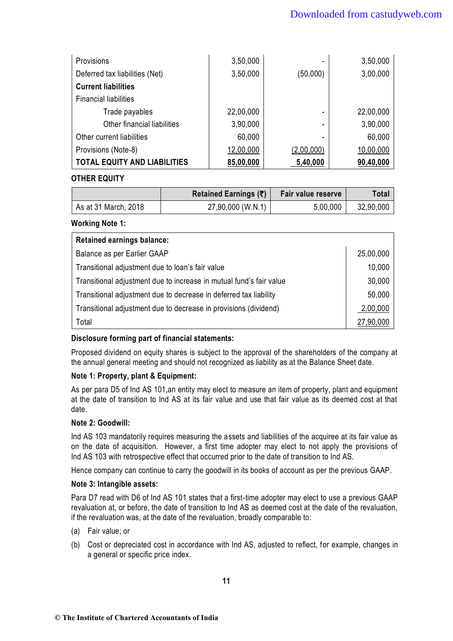| Provisions                          | 3,50,000  | ۰          | 3,50,000  |
|-------------------------------------|-----------|------------|-----------|
| Deferred tax liabilities (Net)      | 3,50,000  | (50,000)   | 3,00,000  |
| <b>Current liabilities</b>          |           |            |           |
| <b>Financial liabilities</b>        |           |            |           |
| Trade payables                      | 22,00,000 | ۰          | 22,00,000 |
| Other financial liabilities         | 3,90,000  | ۰          | 3,90,000  |
| Other current liabilities           | 60,000    |            | 60,000    |
| Provisions (Note-8)                 | 12,00,000 | (2,00,000) | 10,00,000 |
| <b>TOTAL EQUITY AND LIABILITIES</b> | 85,00,000 | 5,40,000   | 90,40,000 |

### **OTHER EQUITY**

|                      | Retained Earnings $(\bar{\tau})$ | Fair value reserve | Total     |
|----------------------|----------------------------------|--------------------|-----------|
| As at 31 March, 2018 | 27,90,000 (W.N.1)                | 5,00,000           | 32,90,000 |

**Working Note 1:** 

| <b>Retained earnings balance:</b>                                   |           |
|---------------------------------------------------------------------|-----------|
| Balance as per Earlier GAAP                                         | 25,00,000 |
| Transitional adjustment due to loan's fair value                    | 10,000    |
| Transitional adjustment due to increase in mutual fund's fair value |           |
| Transitional adjustment due to decrease in deferred tax liability   |           |
| Transitional adjustment due to decrease in provisions (dividend)    |           |
| Total                                                               | 27,90,000 |

## **Disclosure forming part of financial statements:**

 Proposed dividend on equity shares is subject to the approval of the shareholders of the company at the annual general meeting and should not recognized as liability as at the Balance Sheet date.

### **Note 1: Property, plant & Equipment:**

 As per para D5 of Ind AS 101,an entity may elect to measure an item of property, plant and equipment at the date of transition to Ind AS at its fair value and use that fair value as its deemed cost at that date.

### **Note 2: Goodwill:**

Ind AS 103 mandatorily requires measuring the assets and liabilities of the acquiree at its fair value as on the date of acquisition. However, a first time adopter may elect to not apply the provisions of Ind AS 103 with retrospective effect that occurred prior to the date of transition to Ind AS.

Hence company can continue to carry the goodwill in its books of account as per the previous GAAP.

### **Note 3: Intangible assets:**

 Para D7 read with D6 of Ind AS 101 states that a first-time adopter may elect to use a previous GAAP revaluation at, or before, the date of transition to Ind AS as deemed cost at the date of the revaluation, if the revaluation was, at the date of the revaluation, broadly comparable to:

- (a) Fair value; or
- (b) Cost or depreciated cost in accordance with Ind AS, adjusted to reflect, for example, changes in a general or specific price index.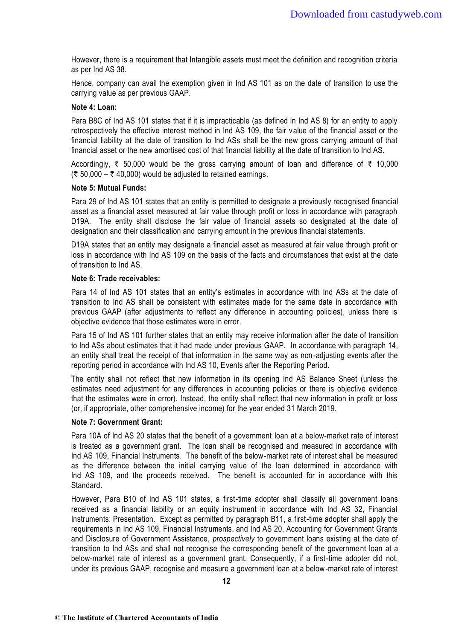However, there is a requirement that Intangible assets must meet the definition and recognition criteria as per Ind AS 38.

 Hence, company can avail the exemption given in Ind AS 101 as on the date of transition to use the carrying value as per previous GAAP.

#### **Note 4: Loan:**

 Para B8C of Ind AS 101 states that if it is impracticable (as defined in Ind AS 8) for an entity to apply retrospectively the effective interest method in Ind AS 109, the fair value of the financial asset or the financial liability at the date of transition to Ind ASs shall be the new gross carrying amount of that financial asset or the new amortised cost of that financial liability at the date of transition to Ind AS.

Accordingly,  $\overline{\zeta}$  50,000 would be the gross carrying amount of loan and difference of  $\overline{\zeta}$  10,000  $(50,000 - 5,40,000)$  would be adjusted to retained earnings.

#### **Note 5: Mutual Funds:**

 Para 29 of Ind AS 101 states that an entity is permitted to designate a previously recognised financial asset as a financial asset measured at fair value through profit or loss in accordance with paragraph D19A. The entity shall disclose the fair value of financial assets so designated at the date of designation and their classification and carrying amount in the previous financial statements.

 D19A states that an entity may designate a financial asset as measured at fair value through profit or loss in accordance with Ind AS 109 on the basis of the facts and circumstances that exist at the date of transition to Ind AS.

#### **Note 6: Trade receivables:**

Para 14 of Ind AS 101 states that an entity's estimates in accordance with Ind ASs at the date of transition to Ind AS shall be consistent with estimates made for the same date in accordance with previous GAAP (after adjustments to reflect any difference in accounting policies), unless there is objective evidence that those estimates were in error.

 Para 15 of Ind AS 101 further states that an entity may receive information after the date of transition to Ind ASs about estimates that it had made under previous GAAP. In accordance with paragraph 14, an entity shall treat the receipt of that information in the same way as non -adjusting events after the reporting period in accordance with Ind AS 10, Events after the Reporting Period.

 The entity shall not reflect that new information in its opening Ind AS Balance Sheet (unless the estimates need adjustment for any differences in accounting policies or there is objective evidence that the estimates were in error). Instead, the entity shall reflect that new information in profit or loss (or, if appropriate, other comprehensive income) for the year ended 31 March 2019.

#### **Note 7: Government Grant:**

 Para 10A of Ind AS 20 states that the benefit of a government loan at a below-market rate of interest is treated as a government grant. The loan shall be recognised and measured in accordance with Ind AS 109, Financial Instruments. The benefit of the below-market rate of interest shall be measured as the difference between the initial carrying value of the loan determined in accordance with Ind AS 109, and the proceeds received. The benefit is accounted for in accordance with this Standard.

 However, Para B10 of Ind AS 101 states, a first-time adopter shall classify all government loans received as a financial liability or an equity instrument in accordance with Ind AS 32, Financial Instruments: Presentation. Except as permitted by paragraph B11, a first-time adopter shall apply the requirements in Ind AS 109, Financial Instruments, and Ind AS 20, Accounting for Government Grants and Disclosure of Government Assistance*, prospectively* to government loans existing at the date of transition to Ind ASs and shall not recognise the corresponding benefit of the governme nt loan at a below-market rate of interest as a government grant. Consequently, if a first-time adopter did not, under its previous GAAP, recognise and measure a government loan at a below-market rate of interest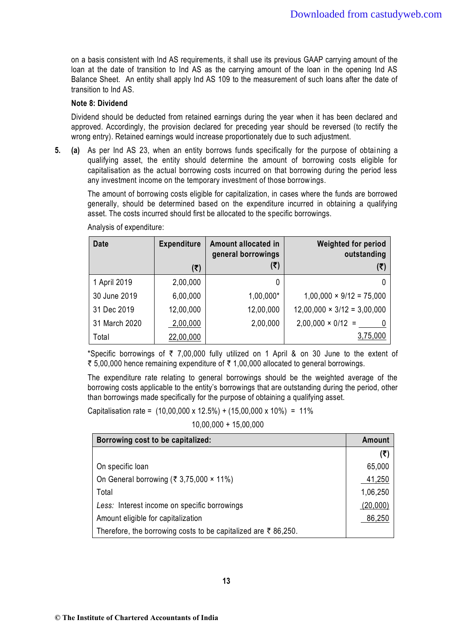on a basis consistent with Ind AS requirements, it shall use its previous GAAP carrying amount of the loan at the date of transition to Ind AS as the carrying amount of the loan in the opening Ind AS Balance Sheet. An entity shall apply Ind AS 109 to the measurement of such loans after the date of transition to Ind AS.

### **Note 8: Dividend**

 Dividend should be deducted from retained earnings during the year when it has been declared and approved. Accordingly, the provision declared for preceding year should be reversed (to rectify the wrong entry). Retained earnings would increase proportionately due to such adjustment.

**5.** (a) As per Ind AS 23, when an entity borrows funds specifically for the purpose of obtaining a qualifying asset, the entity should determine the amount of borrowing costs eligible for capitalisation as the actual borrowing costs incurred on that borrowing during the period less any investment income on the temporary investment of those borrow ings.

 The amount of borrowing costs eligible for capitalization, in cases where the funds are borrowed generally, should be determined based on the expenditure incurred in obtaining a qualifying asset. The costs incurred should first be allocated to the specific borrowings.

| <b>Date</b>   | <b>Expenditure</b> | Amount allocated in<br>general borrowings | <b>Weighted for period</b><br>outstanding |
|---------------|--------------------|-------------------------------------------|-------------------------------------------|
|               | (₹)                | (₹)                                       | (₹)                                       |
| 1 April 2019  | 2,00,000           | 0                                         |                                           |
| 30 June 2019  | 6,00,000           | 1,00,000*                                 | $1,00,000 \times 9/12 = 75,000$           |
| 31 Dec 2019   | 12,00,000          | 12,00,000                                 | $12,00,000 \times 3/12 = 3,00,000$        |
| 31 March 2020 | 2,00,000           | 2,00,000                                  | $2,00,000 \times 0/12 =$                  |
| Total         | 22,00,000          |                                           | 3,75,000                                  |

Analysis of expenditure:

\*Specific borrowings of  $\bar{\tau}$  7,00,000 fully utilized on 1 April & on 30 June to the extent of ₹ 5,00,000 hence remaining expenditure of ₹ 1,00,000 allocated to general borrowings.

 The expenditure rate relating to general borrowings should be the weighted average of the borrowing costs applicable to the entity's borrowings that are outstanding during the period, other than borrowings made specifically for the purpose of obtaining a qualifying asset.

Capitalisation rate =  $(10,00,000 \times 12.5\%) + (15,00,000 \times 10\%) = 11\%$ 

10,00,000 + 15,00,000

| Borrowing cost to be capitalized:                                             | Amount   |
|-------------------------------------------------------------------------------|----------|
|                                                                               | (₹)      |
| On specific loan                                                              | 65,000   |
| On General borrowing (₹ 3,75,000 $\times$ 11%)                                | 41,250   |
| Total                                                                         | 1,06,250 |
| Less: Interest income on specific borrowings                                  | (20,000) |
| Amount eligible for capitalization                                            | 86,250   |
| Therefore, the borrowing costs to be capitalized are $\overline{\xi}$ 86,250. |          |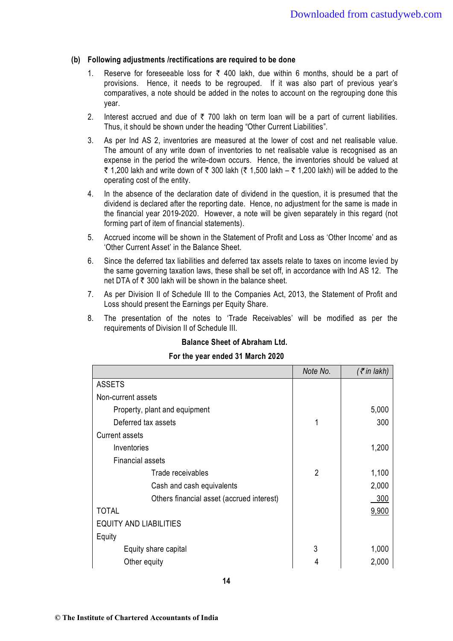#### **(b) Following adjustments /rectifications are required to be done**

- 1. Reserve for foreseeable loss for  $\bar{\tau}$  400 lakh, due within 6 months, should be a part of provisions. Hence, it needs to be regrouped. If it was also part of previous year's comparatives, a note should be added in the notes to account on the regrouping done this year.
- 2. Interest accrued and due of  $\bar{\tau}$  700 lakh on term loan will be a part of current liabilities. Thus, it should be shown under the heading "Other Current Liabilities".
- 3. As per Ind AS 2, inventories are measured at the lower of cost and net realisable value. The amount of any write down of inventories to net realisable value is recognised as an expense in the period the write-down occurs. Hence, the inventories should be valued at ₹ 1,200 lakh and write down of ₹ 300 lakh (₹ 1,500 lakh – ₹ 1,200 lakh) will be added to the operating cost of the entity.
- 4. In the absence of the declaration date of dividend in the question, it is presumed that the dividend is declared after the reporting date. Hence, no adjustment for the same is made in the financial year 2019-2020. However, a note will be given separately in this regard (not forming part of item of financial statements).
- 5. Accrued income will be shown in the Statement of Profit and Loss as 'Other Income' and as 'Other Current Asset' in the Balance Sheet.
- 6. Since the deferred tax liabilities and deferred tax assets relate to taxes on income levied by the same governing taxation laws, these shall be set off, in accordance with Ind AS 12. The net DTA of  $\bar{\tau}$  300 lakh will be shown in the balance sheet.
- 7. As per Division II of Schedule III to the Companies Act, 2013, the Statement of Profit and Loss should present the Earnings per Equity Share.
- 8. The presentation of the notes to 'Trade Receivables' will be modified as per the requirements of Division II of Schedule III.

### **Balance Sheet of Abraham Ltd.**

#### **For the year ended 31 March 2020**

|                                           | Note No.       | $($ ₹ in lakh) |
|-------------------------------------------|----------------|----------------|
| <b>ASSETS</b>                             |                |                |
| Non-current assets                        |                |                |
| Property, plant and equipment             |                | 5,000          |
| Deferred tax assets                       | 1              | 300            |
| <b>Current assets</b>                     |                |                |
| Inventories                               |                | 1,200          |
| <b>Financial assets</b>                   |                |                |
| Trade receivables                         | $\overline{2}$ | 1,100          |
| Cash and cash equivalents                 |                | 2,000          |
| Others financial asset (accrued interest) |                | 300            |
| <b>TOTAL</b>                              |                | 9,900          |
| <b>EQUITY AND LIABILITIES</b>             |                |                |
| Equity                                    |                |                |
| Equity share capital                      | 3              | 1,000          |
| Other equity                              |                | 2,000          |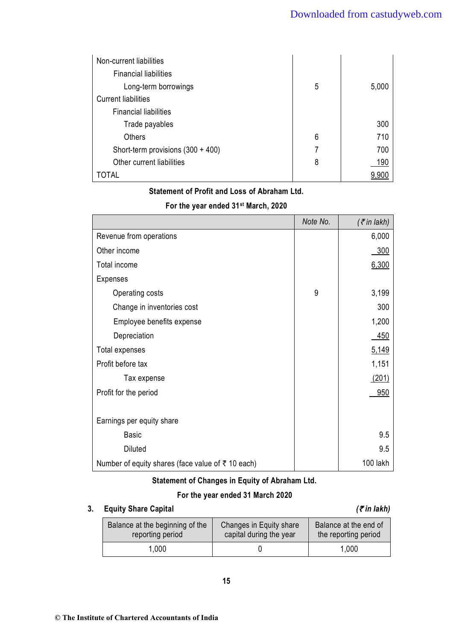| Non-current liabilities             |   |       |
|-------------------------------------|---|-------|
| <b>Financial liabilities</b>        |   |       |
| Long-term borrowings                | 5 | 5,000 |
| <b>Current liabilities</b>          |   |       |
| <b>Financial liabilities</b>        |   |       |
| Trade payables                      |   | 300   |
| <b>Others</b>                       | 6 | 710   |
| Short-term provisions $(300 + 400)$ | 7 | 700   |
| Other current liabilities           | 8 | 190   |
| TOTAL                               |   | 9,900 |

### **Statement of Profit and Loss of Abraham Ltd.**

|                                                           | Note No. | $($ ₹ in lakh) |
|-----------------------------------------------------------|----------|----------------|
| Revenue from operations                                   |          | 6,000          |
| Other income                                              |          | 300            |
| Total income                                              |          | 6,300          |
| <b>Expenses</b>                                           |          |                |
| Operating costs                                           | 9        | 3,199          |
| Change in inventories cost                                |          | 300            |
| Employee benefits expense                                 |          | 1,200          |
| Depreciation                                              |          | 450            |
| Total expenses                                            |          | 5,149          |
| Profit before tax                                         |          | 1,151          |
| Tax expense                                               |          | (201)          |
| Profit for the period                                     |          | 950            |
|                                                           |          |                |
| Earnings per equity share                                 |          |                |
| <b>Basic</b>                                              |          | 9.5            |
| <b>Diluted</b>                                            |          | 9.5            |
| Number of equity shares (face value of $\bar{z}$ 10 each) |          | 100 lakh       |

### **For the year ended 31st March, 2020**

### **Statement of Changes in Equity of Abraham Ltd.**

### **For the year ended 31 March 2020**

### **3.** Equity Share Capital *(₹in lakh)*  $(7 \text{ in } 1)$

#### Balance at the beginning of the reporting period Changes in Equity share capital during the year Balance at the end of the reporting period 1,000 0 1,000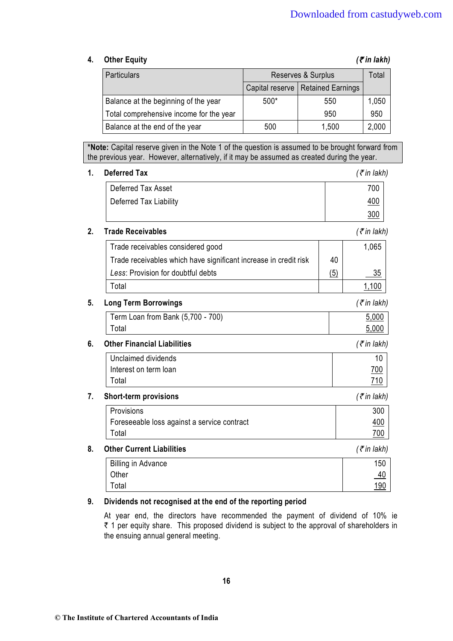### **4.** Other Equity *(₹ in lakh)*

| <b>Particulars</b>                      | Reserves & Surplus |                                     | Total |
|-----------------------------------------|--------------------|-------------------------------------|-------|
|                                         |                    | Capital reserve   Retained Earnings |       |
| Balance at the beginning of the year    | $500*$             | 550                                 | 1,050 |
| Total comprehensive income for the year |                    | 950                                 | 950   |
| Balance at the end of the year          | 500                | 1,500                               | 2,000 |

**\*Note:** Capital reserve given in the Note 1 of the question is assumed to be brought forward from the previous year. However, alternatively, if it may be assumed as created during the year.

#### **1. Deferred Tax** *(*` *in lakh)*

| Deferred Tax Asset     | 700        |
|------------------------|------------|
| Deferred Tax Liability | 400        |
|                        | <u>300</u> |

### **2. Trade Receivables** *(*` *in lakh)*

| Trade receivables considered good                                |                   | 1.065 |
|------------------------------------------------------------------|-------------------|-------|
| Trade receivables which have significant increase in credit risk | 40                |       |
| Less: Provision for doubtful debts                               | $\left( 5\right)$ | 35    |
| Total                                                            |                   |       |
|                                                                  |                   |       |

#### **5. Long Term Borrowings** *(*` *in lakh)*

| Term Loan from Bank (5,700 - 700) | 5,000 |
|-----------------------------------|-------|
| Total                             | 5.000 |

#### **6. Other Financial Liabilities** *(*` *in lakh)*

| Unclaimed dividends   |            |
|-----------------------|------------|
| Interest on term loan | <u>700</u> |
| Total                 | 71 N       |

#### **7. Short-term provisions** *(*` *in lakh)*

| Provisions                                  | 300        |
|---------------------------------------------|------------|
| Foreseeable loss against a service contract | <u>400</u> |
| Total                                       | <u>700</u> |

#### **8. Other Current Liabilities** *(*` *in lakh)*

| <b>Billing in Advance</b> | 150         |
|---------------------------|-------------|
| Other                     | <u>40</u>   |
| Total                     | <u> 190</u> |

### **9. Dividends not recognised at the end of the reporting period**

At year end, the directors have recommended the payment of dividend of 10% ie ₹ 1 per equity share. This proposed dividend is subject to the approval of shareholders in the ensuing annual general meeting.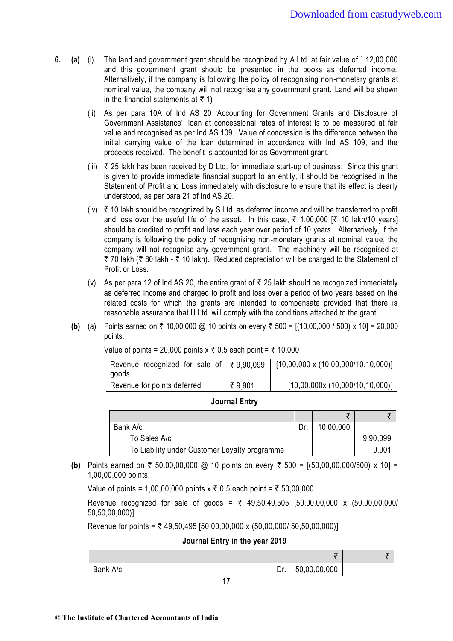- **6. (a)** (i) The land and government grant should be recognized by A Ltd. at fair value of ` 12,00,000 and this government grant should be presented in the books as deferred income. Alternatively, if the company is following the policy of recognising non-monetary grants at nominal value, the company will not recognise any government grant. Land will be shown in the financial statements at  $\bar{\tau}$  1)
	- (ii) As per para 10A of Ind AS 20 'Accounting for Government Grants and Disclosure of Government Assistance', loan at concessional rates of interest is to be measured at fair value and recognised as per Ind AS 109. Value of concession is the difference between the initial carrying value of the loan determined in accordance with Ind AS 109, and the proceeds received. The benefit is accounted for as Government grant.
	- (iii)  $\bar{\tau}$  25 lakh has been received by D Ltd. for immediate start-up of business. Since this grant is given to provide immediate financial support to an entity, it should be recognised in the Statement of Profit and Loss immediately with disclosure to ensure that its effect is clearly understood, as per para 21 of Ind AS 20.
	- (iv)  $\overline{\tau}$  10 lakh should be recognized by S Ltd. as deferred income and will be transferred to profit and loss over the useful life of the asset. In this case,  $\bar{\tau}$  1,00,000 [ $\bar{\tau}$  10 lakh/10 years] should be credited to profit and loss each year over period of 10 years. Alternatively, if the company is following the policy of recognising non-monetary grants at nominal value, the company will not recognise any government grant. The machinery will be recognised at ₹ 70 lakh (₹ 80 lakh - ₹ 10 lakh). Reduced depreciation will be charged to the Statement of Profit or Loss.
	- (v) As per para 12 of Ind AS 20, the entire grant of  $\bar{\tau}$  25 lakh should be recognized immediately as deferred income and charged to profit and loss over a period of two years based on the related costs for which the grants are intended to compensate provided that there is reasonable assurance that U Ltd. will comply with the conditions attached to the grant.
	- **(b)** (a) Points earned on  $\bar{\tau}$  10,00,000 @ 10 points on every  $\bar{\tau}$  500 = [(10,00,000 / 500) x 10] = 20,000 points.

| Revenue recognized for sale of $\sqrt{3}$ 79,90,099<br>  goods |        | $[10,00,000 \times (10,00,000/10,10,000)]$ |
|----------------------------------------------------------------|--------|--------------------------------------------|
| Revenue for points deferred                                    | ₹9,901 | [10,00,000x(10,000/10,10,000)]             |

Value of points = 20,000 points  $x \bar{x}$  0.5 each point =  $\bar{x}$  10,000

#### **Journal Entry**

| Bank A/c                                      | 10,00,000 |          |
|-----------------------------------------------|-----------|----------|
| To Sales A/c                                  |           | 9,90,099 |
| To Liability under Customer Loyalty programme |           | 9,901    |

**(b)** Points earned on  $\bar{\tau}$  50,00,00,000 @ 10 points on every  $\bar{\tau}$  500 = [(50,00,00,000/500) x 10] = 1,00,00,000 points.

Value of points = 1,00,00,000 points  $x \bar{x}$  0.5 each point =  $\bar{x}$  50,00,000

Revenue recognized for sale of goods =  $\bar{\tau}$  49,50,49,505 [50,00,00,000 x (50,00,00,000/ 50,50,00,000)]

Revenue for points =  $\overline{x}$  49,50,495 [50,00,00,000 x (50,00,000/ 50,50,00,000)]

**Journal Entry in the year 2019** 

|          |     | ×              |  |
|----------|-----|----------------|--|
| Bank A/c | Dr. | 1,50,00,00,000 |  |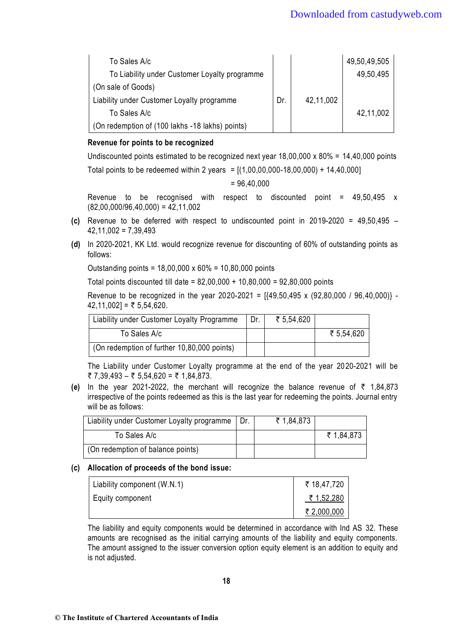| To Sales A/c                                    |     |           | 49,50,49,505 |
|-------------------------------------------------|-----|-----------|--------------|
| To Liability under Customer Loyalty programme   |     |           | 49,50,495    |
| (On sale of Goods)                              |     |           |              |
| Liability under Customer Loyalty programme      | Dr. | 42,11,002 |              |
| To Sales A/c                                    |     |           | 42,11,002    |
| (On redemption of (100 lakhs -18 lakhs) points) |     |           |              |

### **Revenue for points to be recognized**

Undiscounted points estimated to be recognized next year 18,00,000 x 80% = 14,40,000 points Total points to be redeemed within 2 years =  $[(1,00,00,000-18,00,000) + 14,40,000]$ 

$$
= 96,40,000
$$

Revenue to be recognised with respect to discounted point  $=$  49,50,495 x  $(82,00,000/96,40,000) = 42,11,002$ 

- **(c)** Revenue to be deferred with respect to undiscounted point in 2019-2020 = 49,50,495  $42,11,002 = 7,39,493$
- **(d)** In 2020-2021, KK Ltd. would recognize revenue for discounting of 60% of outstanding points as follows:

Outstanding points = 18,00,000 x 60% = 10,80,000 points

Total points discounted till date = 82,00,000 + 10,80,000 = 92,80,000 points

Revenue to be recognized in the year 2020-2021 =  $[49,50,495 \times (92,80,000 / 96,40,000)]$  - $42,11,002$ ] = ₹ 5,54,620.

| Liability under Customer Loyalty Programme  | Dr. | ₹ 5,54,620 |            |
|---------------------------------------------|-----|------------|------------|
| To Sales A/c                                |     |            | ₹ 5,54,620 |
| (On redemption of further 10,80,000 points) |     |            |            |

The Liability under Customer Loyalty programme at the end of the year 2020-2021 will be ₹ 7,39,493 – ₹ 5,54,620 = ₹ 1,84,873.

**(e)** In the year 2021-2022, the merchant will recognize the balance revenue of  $\bar{\tau}$  1,84,873 irrespective of the points redeemed as this is the last year for redeeming the points. Journal entry will be as follows:

| Liability under Customer Loyalty programme | ₹ 1,84,873 |            |
|--------------------------------------------|------------|------------|
| To Sales A/c                               |            | ₹ 1,84,873 |
| (On redemption of balance points)          |            |            |

#### **(c) Allocation of proceeds of the bond issue:**

| Liability component (W.N.1) | ₹ 18,47,720 |
|-----------------------------|-------------|
| Equity component            | ₹ 1,52,280  |
|                             | ₹ 2,000,000 |

 The liability and equity components would be determined in accordance with Ind AS 32. These amounts are recognised as the initial carrying amounts of the liability and equity components. The amount assigned to the issuer conversion option equity element is an addition to equity and is not adjusted.